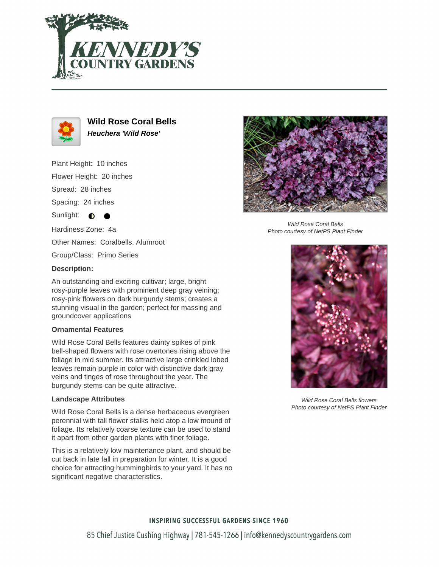



**Wild Rose Coral Bells Heuchera 'Wild Rose'**

Plant Height: 10 inches Flower Height: 20 inches

Spread: 28 inches

Spacing: 24 inches

Sunlight:  $\bigcirc$ 

Hardiness Zone: 4a

Other Names: Coralbells, Alumroot

Group/Class: Primo Series

## **Description:**

An outstanding and exciting cultivar; large, bright rosy-purple leaves with prominent deep gray veining; rosy-pink flowers on dark burgundy stems; creates a stunning visual in the garden; perfect for massing and groundcover applications

## **Ornamental Features**

Wild Rose Coral Bells features dainty spikes of pink bell-shaped flowers with rose overtones rising above the foliage in mid summer. Its attractive large crinkled lobed leaves remain purple in color with distinctive dark gray veins and tinges of rose throughout the year. The burgundy stems can be quite attractive.

## **Landscape Attributes**

Wild Rose Coral Bells is a dense herbaceous evergreen perennial with tall flower stalks held atop a low mound of foliage. Its relatively coarse texture can be used to stand it apart from other garden plants with finer foliage.

This is a relatively low maintenance plant, and should be cut back in late fall in preparation for winter. It is a good choice for attracting hummingbirds to your yard. It has no significant negative characteristics.



Wild Rose Coral Bells Photo courtesy of NetPS Plant Finder



Wild Rose Coral Bells flowers Photo courtesy of NetPS Plant Finder